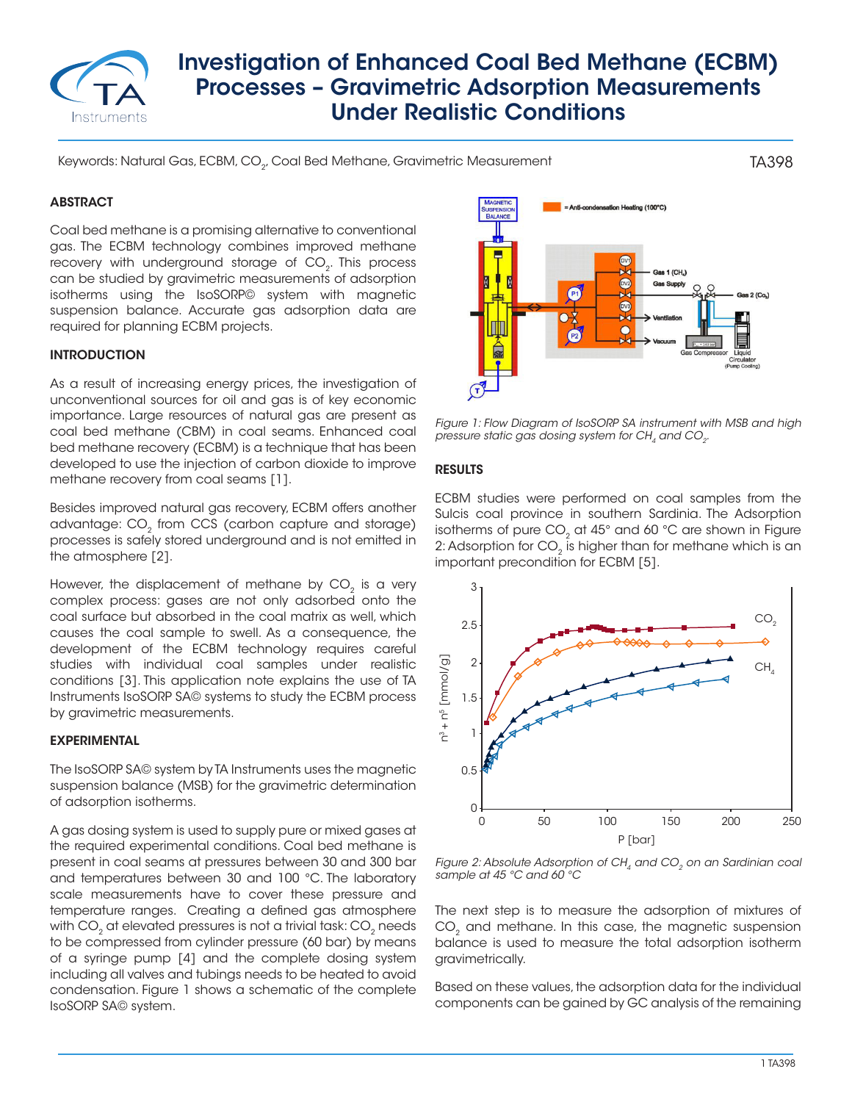

# Investigation of Enhanced Coal Bed Methane (ECBM) Processes – Gravimetric Adsorption Measurements Under Realistic Conditions

Keywords: Natural Gas, ECBM, CO<sub>2</sub>, Coal Bed Methane, Gravimetric Measurement

# **ABSTRACT**

Coal bed methane is a promising alternative to conventional gas. The ECBM technology combines improved methane recovery with underground storage of CO<sub>2</sub>. This process can be studied by gravimetric measurements of adsorption isotherms using the IsoSORP© system with magnetic suspension balance. Accurate gas adsorption data are required for planning ECBM projects.

#### INTRODUCTION

As a result of increasing energy prices, the investigation of unconventional sources for oil and gas is of key economic importance. Large resources of natural gas are present as coal bed methane (CBM) in coal seams. Enhanced coal bed methane recovery (ECBM) is a technique that has been developed to use the injection of carbon dioxide to improve methane recovery from coal seams [1].

Besides improved natural gas recovery, ECBM offers another advantage: CO<sub>2</sub> from CCS (carbon capture and storage) processes is safely stored underground and is not emitted in the atmosphere [2].

However, the displacement of methane by  $CO<sub>2</sub>$  is a very complex process: gases are not only adsorbed onto the coal surface but absorbed in the coal matrix as well, which causes the coal sample to swell. As a consequence, the development of the ECBM technology requires careful studies with individual coal samples under realistic conditions [3]. This application note explains the use of TA Instruments IsoSORP SA© systems to study the ECBM process by gravimetric measurements.

#### EXPERIMENTAL

The IsoSORP SA© system by TA Instruments uses the magnetic suspension balance (MSB) for the gravimetric determination of adsorption isotherms.

A gas dosing system is used to supply pure or mixed gases at the required experimental conditions. Coal bed methane is present in coal seams at pressures between 30 and 300 bar and temperatures between 30 and 100 °C. The laboratory scale measurements have to cover these pressure and temperature ranges. Creating a defined gas atmosphere with CO<sub>2</sub> at elevated pressures is not a trivial task: CO<sub>2</sub> needs to be compressed from cylinder pressure (60 bar) by means of a syringe pump [4] and the complete dosing system including all valves and tubings needs to be heated to avoid condensation. Figure 1 shows a schematic of the complete IsoSORP SA© system.



TA398

*Figure 1: Flow Diagram of IsoSORP SA instrument with MSB and high pressure static gas dosing system for CH<sub>4</sub> and CO<sub>2</sub>.* 

#### **RESULTS**

ECBM studies were performed on coal samples from the Sulcis coal province in southern Sardinia. The Adsorption isotherms of pure  $CO<sub>2</sub>$  at 45 $^{\circ}$  and 60 $^{\circ}$ C are shown in Figure 2: Adsorption for CO<sub>2</sub> is higher than for methane which is an important precondition for ECBM [5].



*Figure 2: Absolute Adsorption of CH<sub>4</sub> and CO<sub>2</sub> on an Sardinian coal sample at 45 °C and 60 °C*

The next step is to measure the adsorption of mixtures of CO<sub>2</sub> and methane. In this case, the magnetic suspension balance is used to measure the total adsorption isotherm gravimetrically.

Based on these values, the adsorption data for the individual components can be gained by GC analysis of the remaining